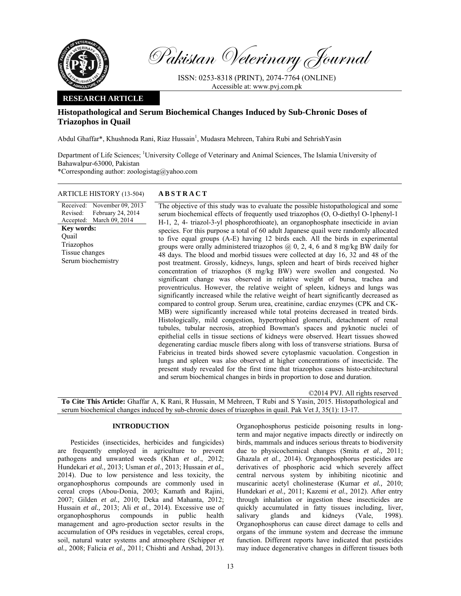

Pakistan Veterinary Journal

ISSN: 0253-8318 (PRINT), 2074-7764 (ONLINE) Accessible at: www.pvj.com.pk

## **RESEARCH ARTICLE**

# **Histopathological and Serum Biochemical Changes Induced by Sub-Chronic Doses of Triazophos in Quail**

Abdul Ghaffar\*, Khushnoda Rani, Riaz Hussain<sup>1</sup>, Mudasra Mehreen, Tahira Rubi and Sehrish Yasin

Department of Life Sciences; <sup>1</sup>University College of Veterinary and Animal Sciences, The Islamia University of Bahawalpur-63000, Pakistan \*Corresponding author: zoologistag@yahoo.com

ARTICLE HISTORY (13-504) **ABSTRACT** 

Received: Revised: Accepted: March 09, 2014 November 09, 2013 February 24, 2014 **Key words:**  Quail Triazophos Tissue changes Serum biochemistry

 The objective of this study was to evaluate the possible histopathological and some serum biochemical effects of frequently used triazophos (O, O-diethyl O-1phenyl-1 H-1, 2, 4- triazol-3-yl phosphorothioate), an organophosphate insecticide in avian species. For this purpose a total of 60 adult Japanese quail were randomly allocated to five equal groups (A-E) having 12 birds each. All the birds in experimental groups were orally administered triazophos  $(2, 0, 2, 4, 6)$  and 8 mg/kg BW daily for 48 days. The blood and morbid tissues were collected at day 16, 32 and 48 of the post treatment. Grossly, kidneys, lungs, spleen and heart of birds received higher concentration of triazophos (8 mg/kg BW) were swollen and congested. No significant change was observed in relative weight of bursa, trachea and proventriculus. However, the relative weight of spleen, kidneys and lungs was significantly increased while the relative weight of heart significantly decreased as compared to control group. Serum urea, creatinine, cardiac enzymes (CPK and CK-MB) were significantly increased while total proteins decreased in treated birds. Histologically, mild congestion, hypertrophied glomeruli, detachment of renal tubules, tubular necrosis, atrophied Bowman's spaces and pyknotic nuclei of epithelial cells in tissue sections of kidneys were observed. Heart tissues showed degenerating cardiac muscle fibers along with loss of transverse striations. Bursa of Fabricius in treated birds showed severe cytoplasmic vacuolation. Congestion in lungs and spleen was also observed at higher concentrations of insecticide. The present study revealed for the first time that triazophos causes histo-architectural and serum biochemical changes in birds in proportion to dose and duration.

©2014 PVJ. All rights reserved **To Cite This Article:** Ghaffar A, K Rani, R Hussain, M Mehreen, T Rubi and S Yasin, 2015. Histopathological and serum biochemical changes induced by sub-chronic doses of triazophos in quail. Pak Vet J, 35(1): 13-17.

# **INTRODUCTION**

Pesticides (insecticides, herbicides and fungicides) are frequently employed in agriculture to prevent pathogens and unwanted weeds (Khan *et al*., 2012; Hundekari *et al.,* 2013; Usman *et al*., 2013; Hussain *et al.,* 2014). Due to low persistence and less toxicity, the organophosphorus compounds are commonly used in cereal crops (Abou-Donia, 2003; Kamath and Rajini, 2007; Gilden *et al.,* 2010; Deka and Mahanta, 2012; Hussain *et al.,* 2013; Ali *et al.*, 2014). Excessive use of organophosphorus compounds in public health management and agro-production sector results in the accumulation of OPs residues in vegetables, cereal crops, soil, natural water systems and atmosphere (Schipper *et al.,* 2008; Falicia *et al.,* 2011; Chishti and Arshad, 2013).

Organophosphorus pesticide poisoning results in longterm and major negative impacts directly or indirectly on birds, mammals and induces serious threats to biodiversity due to physicochemical changes (Smita *et al.,* 2011; Ghazala *et al*., 2014). Organophosphorus pesticides are derivatives of phosphoric acid which severely affect central nervous system by inhibiting nicotinic and muscarinic acetyl cholinesterase (Kumar *et al.,* 2010; Hundekari *et al.,* 2011; Kazemi *et al.,* 2012). After entry through inhalation or ingestion these insecticides are quickly accumulated in fatty tissues including, liver, salivary glands and kidneys (Vale, 1998). Organophosphorus can cause direct damage to cells and organs of the immune system and decrease the immune function. Different reports have indicated that pesticides may induce degenerative changes in different tissues both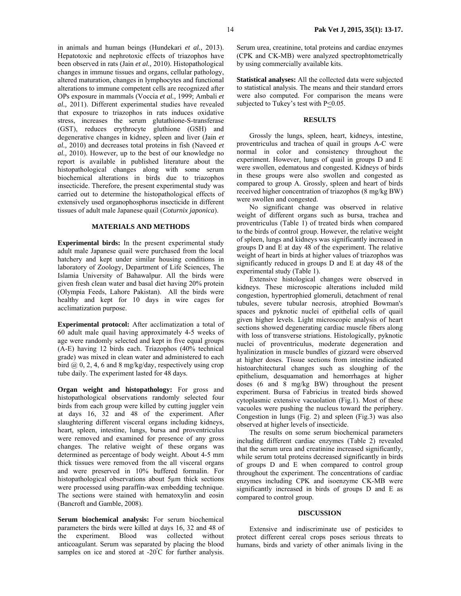in animals and human beings (Hundekari *et al.,* 2013). Hepatotoxic and nephrotoxic effects of triazophos have been observed in rats (Jain *et al.,* 2010). Histopathological changes in immune tissues and organs, cellular pathology, altered maturation, changes in lymphocytes and functional alterations to immune competent cells are recognized after OPs exposure in mammals (Voccia *et al.,* 1999; Ambali *et al.,* 2011). Different experimental studies have revealed that exposure to triazophos in rats induces oxidative stress, increases the serum glutathione-S-transferase (GST), reduces erythrocyte gluthione (GSH) and degenerative changes in kidney, spleen and liver (Jain *et al.,* 2010) and decreases total proteins in fish (Naveed *et al.,* 2010). However, up to the best of our knowledge no report is available in published literature about the histopathological changes along with some serum biochemical alterations in birds due to triazophos insecticide. Therefore, the present experimental study was carried out to determine the histopathological effects of extensively used organophosphorus insecticide in different tissues of adult male Japanese quail (*Coturnix japonica*).

#### **MATERIALS AND METHODS**

**Experimental birds:** In the present experimental study adult male Japanese quail were purchased from the local hatchery and kept under similar housing conditions in laboratory of Zoology, Department of Life Sciences, The Islamia University of Bahawalpur. All the birds were given fresh clean water and basal diet having 20% protein (Olympia Feeds, Lahore Pakistan). All the birds were healthy and kept for 10 days in wire cages for acclimatization purpose.

**Experimental protocol:** After acclimatization a total of 60 adult male quail having approximately 4-5 weeks of age were randomly selected and kept in five equal groups (A-E) having 12 birds each. Triazophos (40% technical grade) was mixed in clean water and administered to each bird  $(a, 0, 2, 4, 6$  and 8 mg/kg/day, respectively using crop tube daily. The experiment lasted for 48 days.

**Organ weight and histopathology:** For gross and histopathological observations randomly selected four birds from each group were killed by cutting juggler vein at days 16, 32 and 48 of the experiment. After slaughtering different visceral organs including kidneys, heart, spleen, intestine, lungs, bursa and proventriculus were removed and examined for presence of any gross changes. The relative weight of these organs was determined as percentage of body weight. About 4-5 mm thick tissues were removed from the all visceral organs and were preserved in 10% buffered formalin. For histopathological observations about 5µm thick sections were processed using paraffin-wax embedding technique. The sections were stained with hematoxylin and eosin (Bancroft and Gamble, 2008).

**Serum biochemical analysis:** For serum biochemical parameters the birds were killed at days 16, 32 and 48 of the experiment. Blood was collected without anticoagulant. Serum was separated by placing the blood samples on ice and stored at -20°C for further analysis.

Serum urea, creatinine, total proteins and cardiac enzymes (CPK and CK-MB) were analyzed spectrophtometrically by using commercially available kits.

**Statistical analyses:** All the collected data were subjected to statistical analysis. The means and their standard errors were also computed. For comparison the means were subjected to Tukey's test with  $P \le 0.05$ .

### **RESULTS**

Grossly the lungs, spleen, heart, kidneys, intestine, proventriculus and trachea of quail in groups A-C were normal in color and consistency throughout the experiment. However, lungs of quail in groups D and E were swollen, edematous and congested. Kidneys of birds in these groups were also swollen and congested as compared to group A. Grossly, spleen and heart of birds received higher concentration of triazophos (8 mg/kg BW) were swollen and congested.

No significant change was observed in relative weight of different organs such as bursa, trachea and proventriculus (Table 1) of treated birds when compared to the birds of control group. However, the relative weight of spleen, lungs and kidneys was significantly increased in groups D and E at day 48 of the experiment. The relative weight of heart in birds at higher values of triazophos was significantly reduced in groups D and E at day 48 of the experimental study (Table 1).

Extensive histological changes were observed in kidneys. These microscopic alterations included mild congestion, hypertrophied glomeruli, detachment of renal tubules, severe tubular necrosis, atrophied Bowman's spaces and pyknotic nuclei of epithelial cells of quail given higher levels. Light microscopic analysis of heart sections showed degenerating cardiac muscle fibers along with loss of transverse striations. Histologically, pyknotic nuclei of proventriculus, moderate degeneration and hyalinization in muscle bundles of gizzard were observed at higher doses. Tissue sections from intestine indicated histoarchitectural changes such as sloughing of the epithelium, desquamation and hemorrhages at higher doses (6 and 8 mg/kg BW) throughout the present experiment. Bursa of Fabricius in treated birds showed cytoplasmic extensive vacuolation (Fig.1). Most of these vacuoles were pushing the nucleus toward the periphery. Congestion in lungs (Fig. 2) and spleen (Fig.3) was also observed at higher levels of insecticide.

The results on some serum biochemical parameters including different cardiac enzymes (Table 2) revealed that the serum urea and creatinine increased significantly, while serum total proteins decreased significantly in birds of groups D and E when compared to control group throughout the experiment. The concentrations of cardiac enzymes including CPK and isoenzyme CK-MB were significantly increased in birds of groups D and E as compared to control group.

## **DISCUSSION**

Extensive and indiscriminate use of pesticides to protect different cereal crops poses serious threats to humans, birds and variety of other animals living in the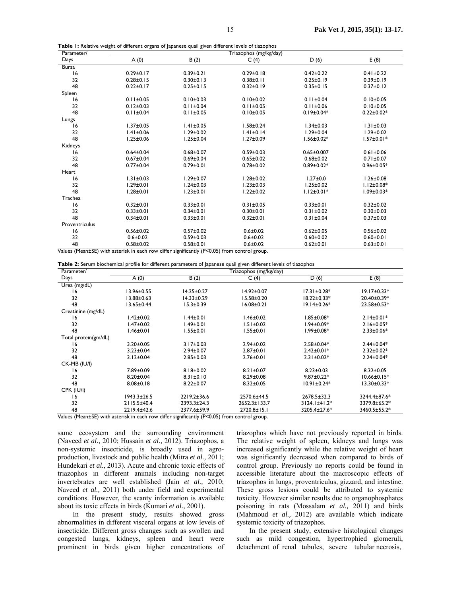|  |  |  |  |  |  | Table 1: Relative weight of different organs of Japanese quail given different levels of tiazophos |  |  |  |
|--|--|--|--|--|--|----------------------------------------------------------------------------------------------------|--|--|--|
|--|--|--|--|--|--|----------------------------------------------------------------------------------------------------|--|--|--|

| Days<br>B(2)<br>C(4)<br>D(6)<br>A(0)<br><b>Bursa</b>                            | E(8)             |
|---------------------------------------------------------------------------------|------------------|
|                                                                                 |                  |
|                                                                                 |                  |
| 16<br>$0.29 \pm 0.17$<br>$0.39 \pm 0.21$<br>$0.29 \pm 0.18$<br>$0.42 \pm 0.22$  | $0.41 \pm 0.22$  |
| 32<br>$0.28 \pm 0.15$<br>$0.30 \pm 0.13$<br>$0.38 \pm 0.11$<br>$0.25 \pm 0.19$  | $0.39 \pm 0.19$  |
| 48<br>$0.32 \pm 0.19$<br>$0.22 \pm 0.17$<br>$0.25 \pm 0.15$<br>$0.35 \pm 0.15$  | $0.37 \pm 0.12$  |
| Spleen                                                                          |                  |
| 16<br>$0.11 \pm 0.05$<br>$0.10 \pm 0.03$<br>$0.10 \pm 0.02$<br>$0.11 \pm 0.04$  | $0.10 \pm 0.05$  |
| 32<br>$0.11 \pm 0.04$<br>$0.12 \pm 0.03$<br>$0.11 \pm 0.05$<br>$0.11 \pm 0.06$  | $0.10 \pm 0.05$  |
| 48<br>$0.11 \pm 0.04$<br>$0.11 \pm 0.05$<br>$0.10 \pm 0.05$<br>$0.19 \pm 0.04*$ | $0.22 \pm 0.02*$ |
| Lungs                                                                           |                  |
| $1.37 \pm 0.05$<br>$1.41 \pm 0.05$<br>$1.58 \pm 0.24$<br>$1.34 \pm 0.03$<br>16  | $1.31 \pm 0.03$  |
| 32<br>$1.41 \pm 0.06$<br>$1.29 \pm 0.02$<br>$1.41 \pm 0.14$<br>$1.29 \pm 0.04$  | $1.29 \pm 0.02$  |
| 48<br>$1.25 \pm 0.06$<br>$1.25 \pm 0.04$<br>$1.27 \pm 0.09$<br>$1.56 \pm 0.02*$ | $1.57 \pm 0.01*$ |
| Kidneys                                                                         |                  |
| $0.64 \pm 0.04$<br>$0.68 + 0.07$<br>$0.59 \pm 0.03$<br>$0.65 \pm 0.007$<br>16   | $0.61 \pm 0.06$  |
| 32<br>$0.67 + 0.04$<br>$0.69 \pm 0.04$<br>$0.68 + 0.02$<br>$0.65 \pm 0.02$      | $0.71 \pm 0.07$  |
| 48<br>$0.77 \pm 0.04$<br>$0.79 \pm 0.01$<br>$0.78 + 0.02$<br>$0.89 \pm 0.02*$   | $0.96 \pm 0.05*$ |
| Heart                                                                           |                  |
| $1.29 \pm 0.07$<br>$1.28 + 0.02$<br>$1.27 \pm 0.0$<br>16<br>$1.31 \pm 0.03$     | $1.26 \pm 0.08$  |
| 32<br>$1.29 \pm 0.01$<br>$1.24 \pm 0.03$<br>$1.23 \pm 0.03$<br>$1.25 \pm 0.02$  | $1.12 \pm 0.08*$ |
| 48<br>$1.28 \pm 0.01$<br>$1.23 \pm 0.01$<br>$1.22 \pm 0.02$<br>$1.12 \pm 0.01*$ | $1.09 \pm 0.03*$ |
| Trachea                                                                         |                  |
| 16<br>$0.32 \pm 0.01$<br>$0.33 \pm 0.01$<br>$0.31 \pm 0.05$<br>$0.33 \pm 0.01$  | $0.32 \pm 0.02$  |
| 32<br>$0.33 \pm 0.01$<br>$0.34 \pm 0.01$<br>$0.30 \pm 0.01$<br>$0.31 \pm 0.02$  | $0.30 \pm 0.03$  |
| 48<br>$0.34 \pm 0.01$<br>$0.33 \pm 0.01$<br>$0.32 \pm 0.01$<br>$0.31 \pm 0.04$  | $0.37 \pm 0.03$  |
| Proventriculus                                                                  |                  |
| 16<br>$0.56 \pm 0.02$<br>$0.57 \pm 0.02$<br>$0.6 \pm 0.02$<br>$0.62 \pm 0.05$   | $0.56 \pm 0.02$  |
| 32<br>$0.6 + 0.02$<br>$0.59 \pm 0.03$<br>$0.6 \pm 0.02$<br>$0.60 \pm 0.02$      | $0.60 \pm 0.01$  |
| 48<br>$0.58 + 0.02$<br>$0.58 + 0.01$<br>$0.6 + 0.02$<br>$0.62 \pm 0.01$         | $0.63 \pm 0.01$  |

Values (Mean±SE) with asterisk in each row differ significantly (P<0.05) from control group.

**Table 2:** Serum biochemical profile for different parameters of Japanese quail given different levels of tiazophos

| Parameter/           | Triazophos (mg/kg/day) |                                                                                              |                    |                    |                   |  |  |  |
|----------------------|------------------------|----------------------------------------------------------------------------------------------|--------------------|--------------------|-------------------|--|--|--|
| Days                 | A(0)                   | B(2)                                                                                         | C(4)               | D(6)               | E(8)              |  |  |  |
| Urea (mg/dL)         |                        |                                                                                              |                    |                    |                   |  |  |  |
| 16                   | 13.96±0.55             | $14.25 \pm 0.27$                                                                             | $14.92 \pm 0.07$   | $17.31 \pm 0.28*$  | $19.17 \pm 0.33*$ |  |  |  |
| 32                   | $13.88 \pm 0.63$       | 14.33±0.29                                                                                   | 15.58±0.20         | 18.22±0.33*        | 20.40±0.39*       |  |  |  |
| 48                   | 13.65±0.44             | $15.3 \pm 0.39$                                                                              | $16.08 \pm 0.21$   | 19.14±0.26*        | $23.58 \pm 0.53*$ |  |  |  |
| Creatinine (mg/dL)   |                        |                                                                                              |                    |                    |                   |  |  |  |
| 16                   | $1.42 \pm 0.02$        | $1.44 \pm 0.01$                                                                              | $1.46 \pm 0.02$    | $1.85 \pm 0.08*$   | $2.14 \pm 0.01*$  |  |  |  |
| 32                   | l.47±0.02              | 1.49±0.01                                                                                    | $1.51 \pm 0.02$    | $1.94 \pm 0.09*$   | $2.16 \pm 0.05*$  |  |  |  |
| 48                   | 1.46±0.01              | 1.55±0.01                                                                                    | 1.55±0.01          | 1.99±0.08*         | $2.33 \pm 0.06*$  |  |  |  |
| Total protein(gm/dL) |                        |                                                                                              |                    |                    |                   |  |  |  |
| 16                   | $3.20 \pm 0.05$        | $3.17 \pm 0.03$                                                                              | $2.94 \pm 0.02$    | $2.58 \pm 0.04*$   | $2.44 \pm 0.04*$  |  |  |  |
| 32                   | $3.23 \pm 0.04$        | $2.94 \pm 0.07$                                                                              | $2.87 \pm 0.01$    | $2.42 \pm 0.01*$   | $2.32 \pm 0.02*$  |  |  |  |
| 48                   | $3.12 \pm 0.04$        | $2.85 \pm 0.03$                                                                              | $2.76 \pm 0.01$    | $2.31 \pm 0.02*$   | $2.24 \pm 0.04*$  |  |  |  |
| CK-MB (IU/I)         |                        |                                                                                              |                    |                    |                   |  |  |  |
| 16                   | 7.89±0.09              | $8.18 \pm 0.02$                                                                              | $8.21 \pm 0.07$    | $8.23 \pm 0.03$    | $8.32 \pm 0.05$   |  |  |  |
| 32                   | $8.20 \pm 0.04$        | $8.31 \pm 0.10$                                                                              | $8.29 \pm 0.08$    | $9.87 \pm 0.22$ *  | $10.66 \pm 0.15*$ |  |  |  |
| 48                   | $8.08 \pm 0.18$        | $8.22 \pm 0.07$                                                                              | $8.32 \pm 0.05$    | 10.91±0.24*        | 13.30±0.33*       |  |  |  |
| CPK (IU/I)           |                        |                                                                                              |                    |                    |                   |  |  |  |
| 16                   | 1943.3±26.5            | 2219.2±36.6                                                                                  | 2570.6±44.5        | 2678.5±32.3        | 3244.4±87.6*      |  |  |  |
| 32                   | 2115.5±40.4            | 2393.3±24.3                                                                                  | $2652.3 \pm 133.7$ | $3124.1 \pm 41.2*$ | 3379.8±65.2*      |  |  |  |
| 48                   | 2219.4±42.6            | 2377.6±59.9                                                                                  | $2720.8 \pm 15.1$  | 3205.4±27.6*       | 3460.5±55.2*      |  |  |  |
|                      |                        | Values (Mean±SE) with asterisk in each row differ significantly (P<0.05) from control group. |                    |                    |                   |  |  |  |

same ecosystem and the surrounding environment (Naveed *et al.,* 2010; Hussain *et al.,* 2012). Triazophos, a non-systemic insecticide, is broadly used in agroproduction, livestock and public health (Mitra *et al.,* 2011; Hundekari *et al.,* 2013). Acute and chronic toxic effects of triazophos in different animals including non-target invertebrates are well established (Jain *et al.,* 2010; Naveed *et al.,* 2011) both under field and experimental conditions. However, the scanty information is available about its toxic effects in birds (Kumari *et al.,* 2001).

In the present study, results showed gross abnormalities in different visceral organs at low levels of insecticide. Different gross changes such as swollen and congested lungs, kidneys, spleen and heart were prominent in birds given higher concentrations of triazophos which have not previously reported in birds. The relative weight of spleen, kidneys and lungs was increased significantly while the relative weight of heart was significantly decreased when compared to birds of control group. Previously no reports could be found in accessible literature about the macroscopic effects of triazophos in lungs, proventriculus, gizzard, and intestine. These gross lesions could be attributed to systemic toxicity. However similar results due to organophosphates poisoning in rats (Mossalam *et al.,* 2011) and birds (Mahmoud *et al.,* 2012) are available which indicate systemic toxicity of triazophos.

In the present study, extensive histological changes such as mild congestion, hypertrophied glomeruli, detachment of renal tubules, severe tubular necrosis,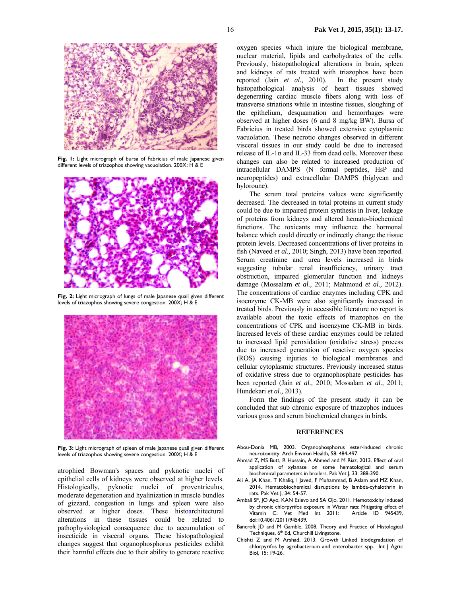

**Fig. 1:** Light micrograph of bursa of Fabricius of male Japanese given different levels of triazophos showing vacuolation. 200X; H & E



Fig. 2: Light micrograph of lungs of male Japanese quail given different levels of triazophos showing severe congestion. 200X; H & E



Fig. 3: Light micrograph of spleen of male Japanese quail given different levels of triazophos showing severe congestion. 200X; H & E

atrophied Bowman's spaces and pyknotic nuclei of epithelial cells of kidneys were observed at higher levels. Histologically, pyknotic nuclei of proventriculus, moderate degeneration and hyalinization in muscle bundles of gizzard, congestion in lungs and spleen were also observed at higher doses. These histoarchitectural alterations in these tissues could be related to pathophysiological consequence due to accumulation of insecticide in visceral organs. These histopathological changes suggest that organophosphorus pesticides exhibit their harmful effects due to their ability to generate reactive

oxygen species which injure the biological membrane, nuclear material, lipids and carbohydrates of the cells. Previously, histopathological alterations in brain, spleen and kidneys of rats treated with triazophos have been reported (Jain *et al.,* 2010). In the present study histopathological analysis of heart tissues showed degenerating cardiac muscle fibers along with loss of transverse striations while in intestine tissues, sloughing of the epithelium, desquamation and hemorrhages were observed at higher doses (6 and 8 mg/kg BW). Bursa of Fabricius in treated birds showed extensive cytoplasmic vacuolation. These necrotic changes observed in different visceral tissues in our study could be due to increased release of IL-1 $\alpha$  and IL-33 from dead cells. Moreover these changes can also be related to increased production of intracellular DAMPS (N formal peptides, HsP and neuropeptides) and extracellular DAMPS (biglycan and hyloroune).

The serum total proteins values were significantly decreased. The decreased in total proteins in current study could be due to impaired protein synthesis in liver, leakage of proteins from kidneys and altered hemato-biochemical functions. The toxicants may influence the hormonal balance which could directly or indirectly change the tissue protein levels. Decreased concentrations of liver proteins in fish (Naveed *et al.,* 2010; Singh, 2013) have been reported. Serum creatinine and urea levels increased in birds suggesting tubular renal insufficiency, urinary tract obstruction, impaired glomerular function and kidneys damage (Mossalam *et al.,* 2011; Mahmoud *et al.,* 2012). The concentrations of cardiac enzymes including CPK and isoenzyme CK-MB were also significantly increased in treated birds. Previously in accessible literature no report is available about the toxic effects of triazophos on the concentrations of CPK and isoenzyme CK-MB in birds. Increased levels of these cardiac enzymes could be related to increased lipid peroxidation (oxidative stress) process due to increased generation of reactive oxygen species (ROS) causing injuries to biological membranes and cellular cytoplasmic structures. Previously increased status of oxidative stress due to organophosphate pesticides has been reported (Jain *et al.,* 2010; Mossalam *et al.,* 2011; Hundekari *et al.,* 2013).

Form the findings of the present study it can be concluded that sub chronic exposure of triazophos induces various gross and serum biochemical changes in birds.

#### **REFERENCES**

- Abou-Donia MB, 2003. Organophosphorus ester-induced chronic neurotoxicity. Arch Environ Health, 58: 484-497.
- Ahmad Z, MS Butt, R Hussain, A Ahmed and M Riaz, 2013. Effect of oral application of xylanase on some hematological and serum biochemical parameters in broilers. Pak Vet J, 33: 388-390.
- Ali A, JA Khan, T Khaliq, I Javed, F Muhammad, B Aslam and MZ Khan, 2014. Hematobiochemical disruptions by lambda-cyhalothrin in rats. Pak Vet J, 34: 54-57.
- Ambali SF, JO Ayo, KAN Esievo and SA Ojo, 2011. Hemotoxicity induced by chronic chlorpyrifos exposure in Wistar rats: Mitigating effect of Vitamin C. Vet Med Int 2011: Article ID 945439, doi:10.4061/2011/945439.
- Bancroft JD and M Gamble, 2008. Theory and Practice of Histological Techniques, 6<sup>th</sup> Ed, Churchill Livingstone.
- Chishti Z and M Arshad, 2013. Growth Linked biodegradation of chlorpyrifos by agrobacterium and enterobacter spp. Int J Agric Biol, 15: 19-26.